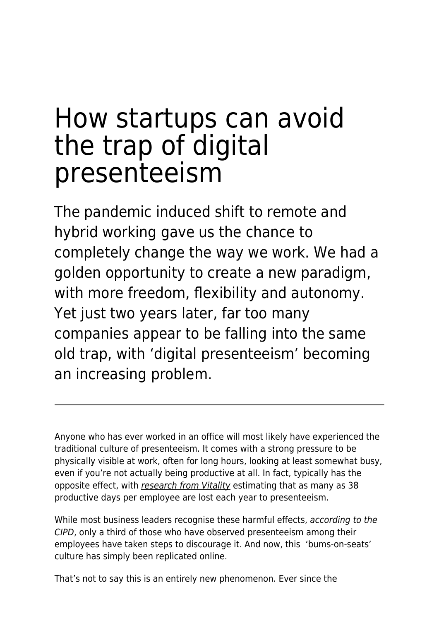## How startups can avoid the trap of digital presenteeism

The pandemic induced shift to remote and hybrid working gave us the chance to completely change the way we work. We had a golden opportunity to create a new paradigm, with more freedom, flexibility and autonomy. Yet just two years later, far too many companies appear to be falling into the same old trap, with 'digital presenteeism' becoming an increasing problem.

Anyone who has ever worked in an office will most likely have experienced the traditional culture of presenteeism. It comes with a strong pressure to be physically visible at work, often for long hours, looking at least somewhat busy, even if you're not actually being productive at all. In fact, typically has the opposite effect, with [research from Vitality](https://www.vitality.co.uk/media/38-working-days-lost-due-to-presenteeism/) estimating that as many as 38 productive days per employee are lost each year to presenteeism.

While most business leaders recognise these harmful effects, [according to the](https://www.cipd.co.uk/Images/health-and-well-being-2019-private-sector-summary_tcm18-55947.pdf) [CIPD](https://www.cipd.co.uk/Images/health-and-well-being-2019-private-sector-summary_tcm18-55947.pdf), only a third of those who have observed presenteeism among their employees have taken steps to discourage it. And now, this 'bums-on-seats' culture has simply been replicated online.

That's not to say this is an entirely new phenomenon. Ever since the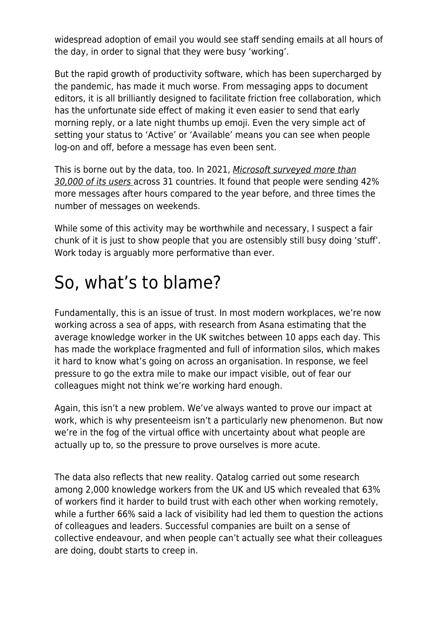widespread adoption of email you would see staff sending emails at all hours of the day, in order to signal that they were busy 'working'.

But the rapid growth of productivity software, which has been supercharged by the pandemic, has made it much worse. From messaging apps to document editors, it is all brilliantly designed to facilitate friction free collaboration, which has the unfortunate side effect of making it even easier to send that early morning reply, or a late night thumbs up emoji. Even the very simple act of setting your status to 'Active' or 'Available' means you can see when people log-on and off, before a message has even been sent.

This is borne out by the data, too. In 2021, [Microsoft surveyed more than](https://www.microsoft.com/en-us/worklab/work-trend-index/hybrid-work) [30,000 of its users](https://www.microsoft.com/en-us/worklab/work-trend-index/hybrid-work) across 31 countries. It found that people were sending 42% more messages after hours compared to the year before, and three times the number of messages on weekends.

While some of this activity may be worthwhile and necessary, I suspect a fair chunk of it is just to show people that you are ostensibly still busy doing 'stuff'. Work today is arguably more performative than ever.

## So, what's to blame?

Fundamentally, this is an issue of trust. In most modern workplaces, we're now working across a sea of apps, with research from Asana estimating that the average knowledge worker in the UK switches between 10 apps each day. This has made the workplace fragmented and full of information silos, which makes it hard to know what's going on across an organisation. In response, we feel pressure to go the extra mile to make our impact visible, out of fear our colleagues might not think we're working hard enough.

Again, this isn't a new problem. We've always wanted to prove our impact at work, which is why presenteeism isn't a particularly new phenomenon. But now we're in the fog of the virtual office with uncertainty about what people are actually up to, so the pressure to prove ourselves is more acute.

The data also reflects that new reality. Qatalog carried out some research among 2,000 knowledge workers from the UK and US which revealed that 63% of workers find it harder to build trust with each other when working remotely, while a further 66% said a lack of visibility had led them to question the actions of colleagues and leaders. Successful companies are built on a sense of collective endeavour, and when people can't actually see what their colleagues are doing, doubt starts to creep in.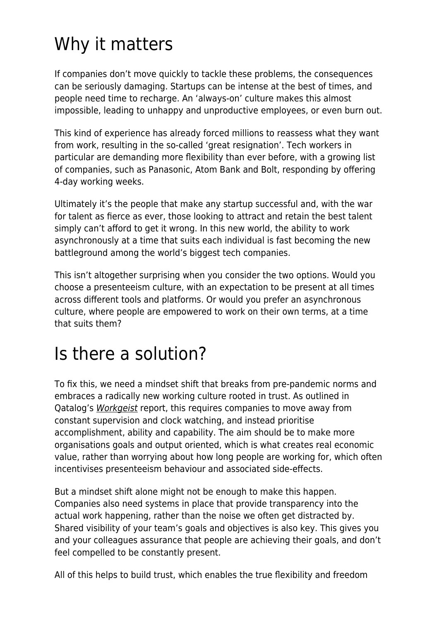## Why it matters

If companies don't move quickly to tackle these problems, the consequences can be seriously damaging. Startups can be intense at the best of times, and people need time to recharge. An 'always-on' culture makes this almost impossible, leading to unhappy and unproductive employees, or even burn out.

This kind of experience has already forced millions to reassess what they want from work, resulting in the so-called 'great resignation'. Tech workers in particular are demanding more flexibility than ever before, with a growing list of companies, such as Panasonic, Atom Bank and Bolt, responding by offering 4-day working weeks.

Ultimately it's the people that make any startup successful and, with the war for talent as fierce as ever, those looking to attract and retain the best talent simply can't afford to get it wrong. In this new world, the ability to work asynchronously at a time that suits each individual is fast becoming the new battleground among the world's biggest tech companies.

This isn't altogether surprising when you consider the two options. Would you choose a presenteeism culture, with an expectation to be present at all times across different tools and platforms. Or would you prefer an asynchronous culture, where people are empowered to work on their own terms, at a time that suits them?

## Is there a solution?

To fix this, we need a mindset shift that breaks from pre-pandemic norms and embraces a radically new working culture rooted in trust. As outlined in Qatalog's [Workgeist](https://language.work/study/) report, this requires companies to move away from constant supervision and clock watching, and instead prioritise accomplishment, ability and capability. The aim should be to make more organisations goals and output oriented, which is what creates real economic value, rather than worrying about how long people are working for, which often incentivises presenteeism behaviour and associated side-effects.

But a mindset shift alone might not be enough to make this happen. Companies also need systems in place that provide transparency into the actual work happening, rather than the noise we often get distracted by. Shared visibility of your team's goals and objectives is also key. This gives you and your colleagues assurance that people are achieving their goals, and don't feel compelled to be constantly present.

All of this helps to build trust, which enables the true flexibility and freedom